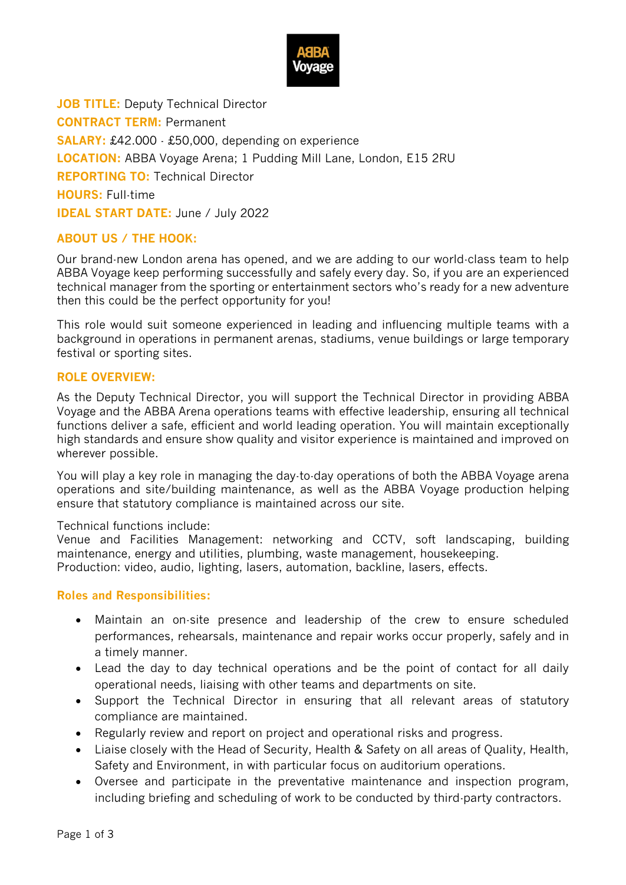

**JOB TITLE: Deputy Technical Director CONTRACT TERM:** Permanent **SALARY:** £42.000 - £50,000, depending on experience **LOCATION:** ABBA Voyage Arena; 1 Pudding Mill Lane, London, E15 2RU **REPORTING TO:** Technical Director **HOURS:** Full-time **IDEAL START DATE:** June / July 2022

## **ABOUT US / THE HOOK:**

Our brand-new London arena has opened, and we are adding to our world-class team to help ABBA Voyage keep performing successfully and safely every day. So, if you are an experienced technical manager from the sporting or entertainment sectors who's ready for a new adventure then this could be the perfect opportunity for you!

This role would suit someone experienced in leading and influencing multiple teams with a background in operations in permanent arenas, stadiums, venue buildings or large temporary festival or sporting sites.

### **ROLE OVERVIEW:**

As the Deputy Technical Director, you will support the Technical Director in providing ABBA Voyage and the ABBA Arena operations teams with effective leadership, ensuring all technical functions deliver a safe, efficient and world leading operation. You will maintain exceptionally high standards and ensure show quality and visitor experience is maintained and improved on wherever possible.

You will play a key role in managing the day-to-day operations of both the ABBA Voyage arena operations and site/building maintenance, as well as the ABBA Voyage production helping ensure that statutory compliance is maintained across our site.

### Technical functions include:

Venue and Facilities Management: networking and CCTV, soft landscaping, building maintenance, energy and utilities, plumbing, waste management, housekeeping. Production: video, audio, lighting, lasers, automation, backline, lasers, effects.

### **Roles and Responsibilities:**

- Maintain an on-site presence and leadership of the crew to ensure scheduled performances, rehearsals, maintenance and repair works occur properly, safely and in a timely manner.
- Lead the day to day technical operations and be the point of contact for all daily operational needs, liaising with other teams and departments on site.
- Support the Technical Director in ensuring that all relevant areas of statutory compliance are maintained.
- Regularly review and report on project and operational risks and progress.
- Liaise closely with the Head of Security, Health & Safety on all areas of Quality, Health, Safety and Environment, in with particular focus on auditorium operations.
- Oversee and participate in the preventative maintenance and inspection program, including briefing and scheduling of work to be conducted by third-party contractors.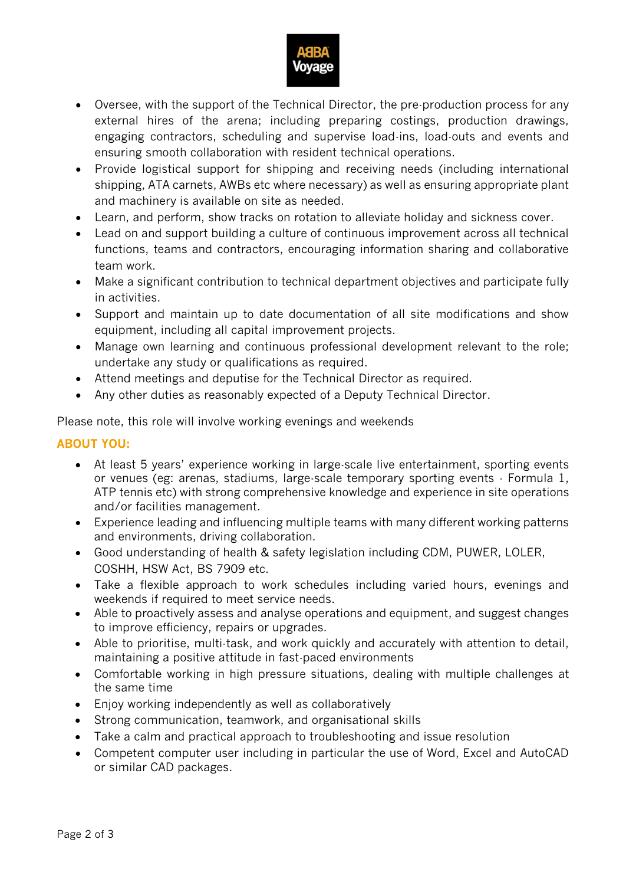

- Oversee, with the support of the Technical Director, the pre-production process for any external hires of the arena; including preparing costings, production drawings, engaging contractors, scheduling and supervise load-ins, load-outs and events and ensuring smooth collaboration with resident technical operations.
- Provide logistical support for shipping and receiving needs (including international shipping, ATA carnets, AWBs etc where necessary) as well as ensuring appropriate plant and machinery is available on site as needed.
- Learn, and perform, show tracks on rotation to alleviate holiday and sickness cover.
- Lead on and support building a culture of continuous improvement across all technical functions, teams and contractors, encouraging information sharing and collaborative team work.
- Make a significant contribution to technical department objectives and participate fully in activities.
- Support and maintain up to date documentation of all site modifications and show equipment, including all capital improvement projects.
- Manage own learning and continuous professional development relevant to the role; undertake any study or qualifications as required.
- Attend meetings and deputise for the Technical Director as required.
- Any other duties as reasonably expected of a Deputy Technical Director.

Please note, this role will involve working evenings and weekends

# **ABOUT YOU:**

- At least 5 years' experience working in large-scale live entertainment, sporting events or venues (eg: arenas, stadiums, large-scale temporary sporting events - Formula 1, ATP tennis etc) with strong comprehensive knowledge and experience in site operations and/or facilities management.
- Experience leading and influencing multiple teams with many different working patterns and environments, driving collaboration.
- Good understanding of health & safety legislation including CDM, PUWER, LOLER, COSHH, HSW Act, BS 7909 etc.
- Take a flexible approach to work schedules including varied hours, evenings and weekends if required to meet service needs.
- Able to proactively assess and analyse operations and equipment, and suggest changes to improve efficiency, repairs or upgrades.
- Able to prioritise, multi-task, and work quickly and accurately with attention to detail, maintaining a positive attitude in fast-paced environments
- Comfortable working in high pressure situations, dealing with multiple challenges at the same time
- Enjoy working independently as well as collaboratively
- Strong communication, teamwork, and organisational skills
- Take a calm and practical approach to troubleshooting and issue resolution
- Competent computer user including in particular the use of Word, Excel and AutoCAD or similar CAD packages.